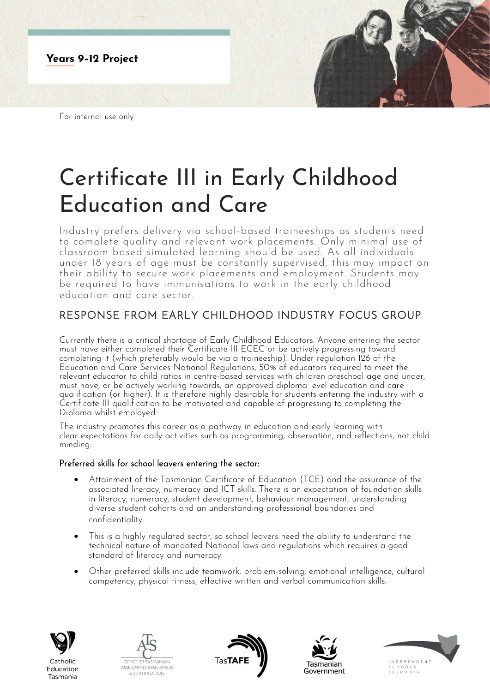

For internal use only

# Certificate III in Early Childhood Education and Care

Industry prefers delivery via school-based traineeships as students need to complete quality and relevant work placements. Only minimal use of classroom based simulated learning should be used. As all individuals under 18 years of age must be constantly supervised, this may impact on their ability to secure work placements and employment. Students may be required to have immunisations to work in the early childhood education and care sector.

# RESPONSE FROM EARLY CHILDHOOD INDUSTRY FOCUS GROUP

Currently there is a critical shortage of Early Childhood Educators. Anyone entering the sector must have either completed their Certificate III ECEC or be actively progressing toward completing it (which preferably would be via a traineeship). Under regulation 126 of the Education and Care Services National Regulations, 50% of educators required to meet the relevant educator to child ratios in centre-based services with children preschool age and under, must have, or be actively working towards, an approved diploma level education and care qualification (or higher). It is therefore highly desirable for students entering the industry with a Certificate III qualification to be motivated and capable of progressing to completing the Diploma whilst employed.

The industry promotes this career as a pathway in education and early learning with clear expectations for daily activities such as programming, observation, and reflections, not child minding.

## Preferred skills for school leavers entering the sector:

- Attainment of the Tasmanian Certificate of Education (TCE) and the assurance of the associated literacy, numeracy and ICT skills. There is an expectation of foundation skills in literacy, numeracy, student development, behaviour management, understanding diverse student cohorts and an understanding professional boundaries and confidentiality.
- This is a highly regulated sector, so school leavers need the ability to understand the technical nature of mandated National laws and regulations which requires a good standard of literacy and numeracy.
- Other preferred skills include teamwork, problem-solving, emotional intelligence, cultural competency, physical fitness, effective written and verbal communication skills.



Tasmania